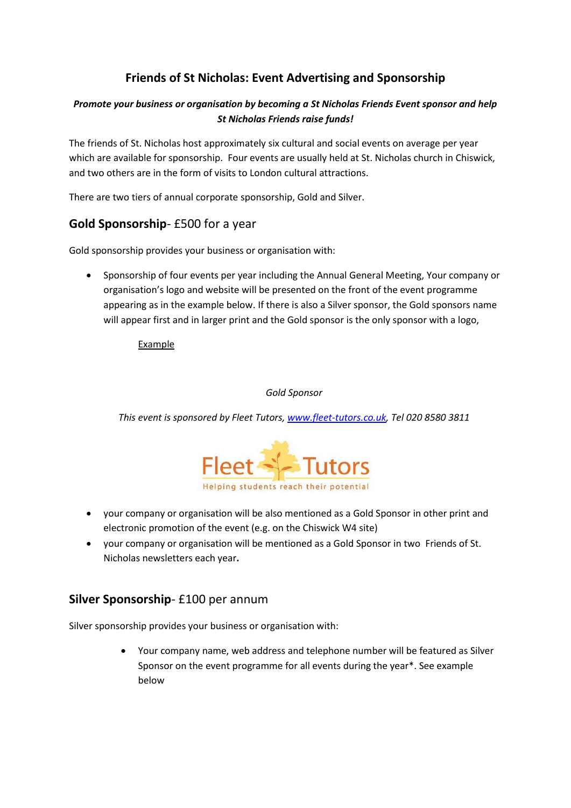# **Friends of St Nicholas: Event Advertising and Sponsorship**

#### *Promote your business or organisation by becoming a St Nicholas Friends Event sponsor and help St Nicholas Friends raise funds!*

The friends of St. Nicholas host approximately six cultural and social events on average per year which are available for sponsorship. Four events are usually held at St. Nicholas church in Chiswick, and two others are in the form of visits to London cultural attractions.

There are two tiers of annual corporate sponsorship, Gold and Silver.

## **Gold Sponsorship**- £500 for a year

Gold sponsorship provides your business or organisation with:

 Sponsorship of four events per year including the Annual General Meeting, Your company or organisation's logo and website will be presented on the front of the event programme appearing as in the example below. If there is also a Silver sponsor, the Gold sponsors name will appear first and in larger print and the Gold sponsor is the only sponsor with a logo,

Example

*Gold Sponsor*

*This event is sponsored by Fleet Tutors[, www.fleet-tutors.co.uk,](http://www.fleet-tutors.co.uk/) Tel 020 8580 3811*



- your company or organisation will be also mentioned as a Gold Sponsor in other print and electronic promotion of the event (e.g. on the Chiswick W4 site)
- your company or organisation will be mentioned as a Gold Sponsor in two Friends of St. Nicholas newsletters each year**.**

### **Silver Sponsorship**- £100 per annum

Silver sponsorship provides your business or organisation with:

 Your company name, web address and telephone number will be featured as Silver Sponsor on the event programme for all events during the year\*. See example below